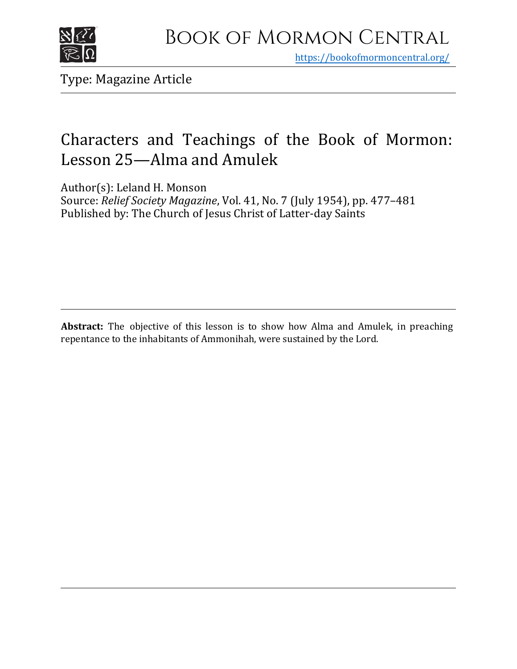

https[://bookofmormoncentral.org/](http://bookofmormoncentral.org/)

Type: Magazine Article

## Characters and Teachings of the Book of Mormon: Lesson 25—Alma and Amulek

Author(s): Leland H. Monson

Source: *Relief Society Magazine*, Vol. 41, No. 7 (July 1954), pp. 477–481 Published by: The Church of Jesus Christ of Latter-day Saints

**Abstract:** The objective of this lesson is to show how Alma and Amulek, in preaching repentance to the inhabitants of Ammonihah, were sustained by the Lord.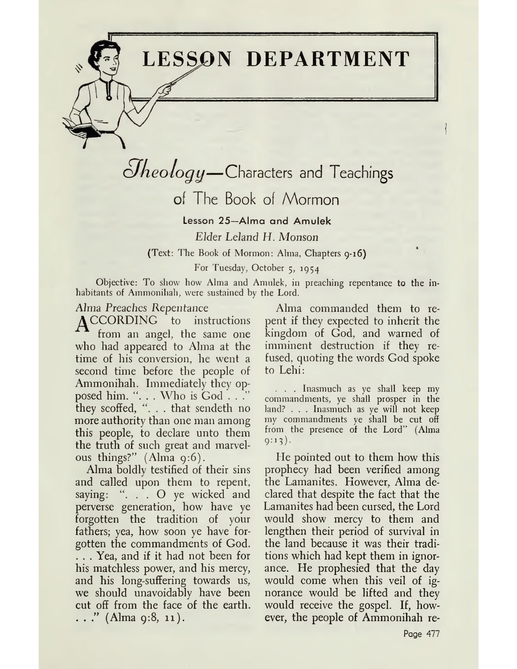**LESSON DEPARTMENT**

# $\partial$ *heology*—Characters and Teachings

### of The Book of Mormon

Lesson 25—Alma and Amulek *Elder Leland II. Monson* (Text: The Book of Mormon: Alma, Chapters 9-16) For Tuesday, October 5, 1954

Objective: To show how Alma and Amulek, in preaching repentance to the inhabitants of Ammonihah, were sustained by the Lord.

#### Alma *Preaches Repentance*

**A CCORDING** to instructions trom an angel, the same one who had appeared to Alma at the time of his conversion, he went a second time before the people of Ammonihah. Immediately they opposed him. ". . . Who is God . . . " they scoffed, "... that sendeth no more authority than one man among this people, to declare unto them the truth of such great and marvelous things?" (Alma 9:6).

Alma boldly testified of their sins and called upon them to repent, saying: ". . . O ye wicked and perverse generation, how have ye forgotten the tradition of your fathers; yea, how soon ye have forgotten the commandments of God.

. . . Yea, and if it had not been for his matchless power, and his mercy, and his long-suffering towards us, we should unavoidably have been cut off from the face of the earth.  $\ldots$ ." (Alma 9:8, 11).

Alma commanded them to repent if they expected to inherit the kingdom of God, and warned of imminent destruction if they refused, quoting the words God spoke to Lehi:

. . Inasmuch as ye shall keep my commandments, ye shall prosper in the land? . . . Inasmuch as ye will not keep my commandments ye shall be cut off from the presence of the Lord" (Alma  $9:13$ ).

He pointed out to them how this prophecy had been verified among the Lamanites. However, Alma declared that despite the fact that the Lamanites had been cursed, the Lord would show mercy to them and lengthen their period of survival in the land because it was their traditions which had kept them in ignorance. He prophesied that the day would come when this veil of ignorance would be lifted and they would receive the gospel. If, however, the people of Ammonihah re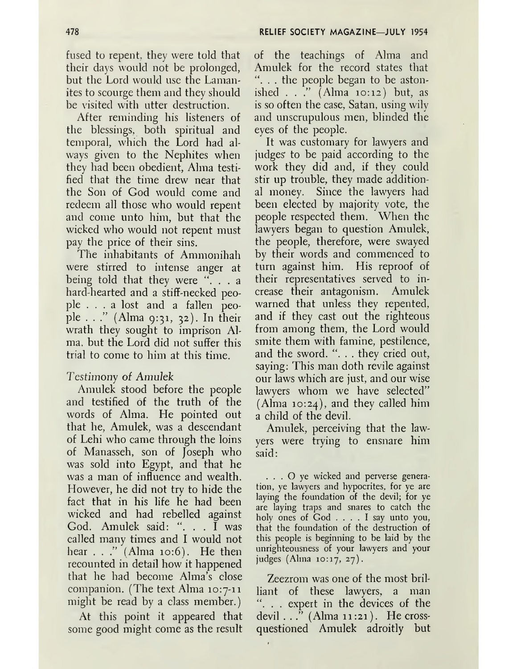fused to repent, they were told that their days would not be prolonged, but the Lord would use the Lamanites to scourge them and they should be visited with utter destruction.

After reminding his listeners of the blessings, both spiritual and temporal, which the Lord had always given to the Nephites when they had been obedient, Alma testified that the time drew near that the Son of God would come and redeem all those who would repent and come unto him, but that the wicked who would not repent must pay the price of their sins.

The inhabitants of Ammonihah were stirred to intense anger at being told that they were ". . . a hard-hearted and a stiff-necked people ... <sup>a</sup> lost and <sup>a</sup> fallen people . . ." (Alma 9:31, 32). In their wrath they sought to imprison Alma, but the Lord did not suffer this trial to come to him at this time.

#### *Testimony of Amulek*

Amulek stood before the people and testified of the truth of the words of Alma. He pointed out that he, Amulek, was a descendant of Lehi who came through the loins of Manasseh, son of Joseph who was sold into Egypt, and that he was a man of influence and wealth. However, he did not try to hide the fact that in his life he had been wicked and had rebelled against God. Amulek said: ". . . I was called many times and I would not hear . . ." (Alma 10:6). He then recounted in detail how it happened that he had become Alma's close companion. (The text Alma 10:7-11 might be read by a class member.)

At this point it appeared that some good might come as the result of the teachings of Alma and Amulek for the record states that ... the people began to be astonished . . ." (Alma 10:12) but, as is so often the case, Satan, using wily and unscrupulous men, blinded the eyes of the people.

It was customary for lawyers and judges' to be paid according to the work they did and, if they could stir up trouble, they made additional money. Since the lawyers had been elected by majority vote, the people respected them. When the lawyers began to question Amulek, the people, therefore, were swayed by their words and commenced to turn against him. His reproof of their representatives served to increase their antagonism. Amulek warned that unless they repented, and if they cast out the righteous from among them, the Lord would smite them with famine, pestilence, and the sword. " $\dots$  they cried out, saying: This man doth revile against our laws which are just, and our wise lawyers whom we have selected"  $(Alma 10:24)$ , and they called him a child of the devil.

Amulek, perceiving that the lawyers were trying to ensnare him said:

. . . O yc wicked and perverse generation, ye lawyers and hypocrites, for ye are laying the foundation of the devil; for ye are laying traps and snares to catch the holy ones of God .... <sup>I</sup> say unto you, that the foundation of the destruction of this people is beginning to be laid by the unrighteousness of your lawyers and your judges  $(Alma 10:17, 27)$ .

Zeezrom was one of the most brilliant of these lawyers, a man ". . . expert in the devices of the devil  $\ldots$ " (Alma 11:21). He crossquestioned Amulek adroitly but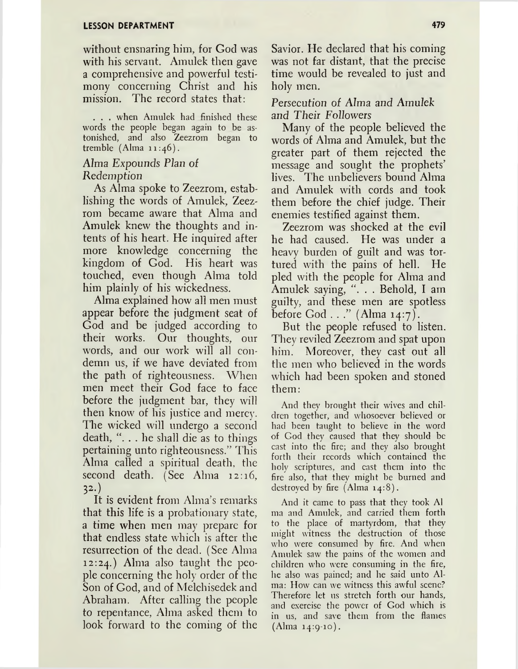without ensnaring him, for God was with his servant. Amulek then gave a comprehensive and powerful testimony concerning Christ and his mission. The record states that:

. . . when Amulek had finished these words the people began again to be astonished, and also Zeezrom began to tremble  $(Alma 11:46)$ .

#### Alma *Expounds Plan of Redemption*

*As* Alma spoke to Zeezrom, establishing the words of Amulek, Zeezrom became aware that Alma and Amulek knew the thoughts and intents of his heart. He inquired after more knowledge concerning the kingdom of God. His heart was touched, even though Alma told him plainly of his wickedness.

Alma explained how all men must appear before the judgment seat of God and be judged according to their works. Our thoughts, our words, and our work will all condemn us, if we have deviated from the path of righteousness. When men meet their God face to face before the judgment bar, they will then know of his justice and mercy, The wicked will undergo a second death, ". . . he shall die as to things pertaining unto righteousness." This Alma called a spiritual death, the second death. (See Alma 12:16,  $32.$ 

It is evident from Alma'<sup>s</sup> remarks that this life is a probationary state, a time when men may prepare for that endless state which is after the resurrection of the dead. (See Alma 12:24.) Alma also taught the people concerning the holy order of the Son of God, and of Melchisedek and Abraham. After calling the people to repentance, Alma asked them to look forward to the coming of the Savior. He declared that his coming was not far distant, that the precise time would be revealed to just and holy men.

#### *Persecution of Alma and Amulek and Their Followers*

Many of the people believed the words of Alma and Amulek, but the greater part of them rejected the message and sought the prophets' lives. The unbelievers bound Alma and Amulek with cords and took them before the chief judge. Their enemies testified against them.

Zeezrom was shocked at the evil he had caused. He was under a heavy burden of guilt and was tortured with the pains of hell. He pled with the people for Alma and Amulek saying, ". . . Behold, I am guilty, and these men are spotless before God . . ." (Alma 14:7).

But the people refused to listen. They reviled Zeezrom and spat upon him. Moreover, they cast out all the men who believed in the words which had been spoken and stoned them:

And they brought their wives and children together, and whosoever believed or had been taught to believe in the word of God they caused that they should be cast into the fire; and they also brought forth their records which contained the holy scriptures, and cast them into the fire also, that they might be burned and destroyed by fire (Alma 14:8).

And it came to pass that they took Al ma and Amulek, and carried them forth to the place of martyrdom, that they might witness the destruction of those who were consumed by fire. And when Amulek saw the pains of the women and children who were consuming in the fire, he also was pained; and he said unto Alma: How can we witness this awful scene? Therefore let 11s stretch forth our hands, and exercise the power of God which is in us, and save them from the flames  $(A)$ ma 14:9-10).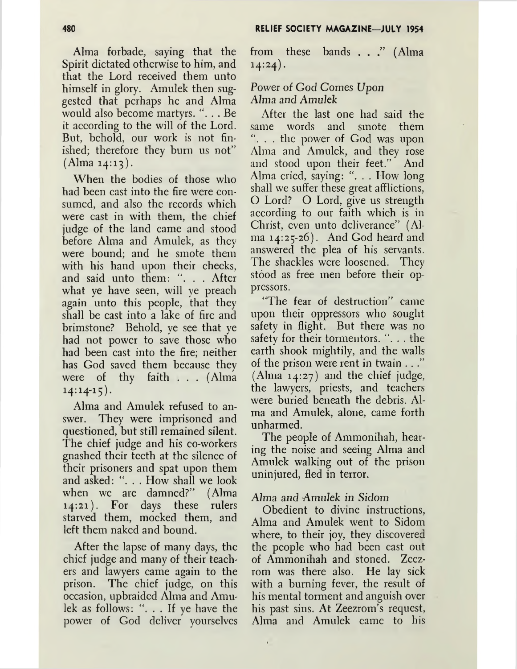Alma forbade, saying that the Spirit dictated otherwise to him, and that the Lord received them unto himself in glory. Amulek then suggested that perhaps he and Alma would also become martyrs. ". . . Be it according to the will of the Lord. But, behold, our work is not finished; therefore they burn us not"  $(A)$ lma 14:13).

When the bodies of those who had been cast into the fire were consumed, and also the records which were cast in with them, the chief judge of the land came and stood before Alma and Amulek, as they were bound; and he smote them with his hand upon their cheeks, and said unto them: ". . . After what ye have seen, will ye preach again unto this people, that they shall be cast into a lake of fire and brimstone? Behold, ye see that ye had not power to save those who had been cast into the fire; neither has God saved them because they were of thy faith . . . (Alma  $14:14-15$ .

Alma and Amulek refused to answer. They were imprisoned and questioned, but still remained silent. The chief judge and his co-workers gnashed their teeth at the silence of their prisoners and spat upon them and asked: ". . . How shall we look when we are damned?" (Alma 14:21). For days these rulers starved them, mocked them, and left them naked and bound.

After the lapse of many days, the chief judge and many of their teachers and lawyers came again to the prison. The chief judge, on this occasion, upbraided Alma and Amulek as follows: ". . . If ye have the power of God deliver yourselves from these bands . . ." (Alma  $14:24$ .

#### Power of God Comes Upon Alma *and Amulek*

After the last one had said the same words and smote them ". . . the power of God was upon Alma and Amulek, and they rose and stood upon their feet." And Alma cried, saying: ". . . How long shall we suffer these great afflictions, O Lord? O Lord, give us strength according to our faith which is in Christ, even unto deliverance" (Alma 14:25-26). And God heard and answered the plea of his servants. The shackles were loosened. They stood as free men before their oppressors.

"The fear of destruction" came upon their oppressors who sought safety in flight. But there was no safety for their tormentors. "... the earth shook mightily, and the walls of the prison were rent in twain . . ." (Alma  $14:27$ ) and the chief judge, the lawyers, priests, and teachers were buried beneath the debris. Alma and Amulek, alone, came forth unharmed.

The people of Ammonihah, hearing the noise and seeing Alma and Amulek walking out of the prison uninjured, fled in terror.

#### Alma *and Amulek in Sidom*

 $\pmb{\mathsf{I}}$ 

Obedient to divine instructions, Alma and Amulek went to Sidom where, to their joy, they discovered the people who had been cast out of Ammonihah and stoned. Zeezrom was there also. He lay sick with a burning fever, the result of his mental torment and anguish over his past sins. At Zeezrom's request, Alma and Amulek came to his